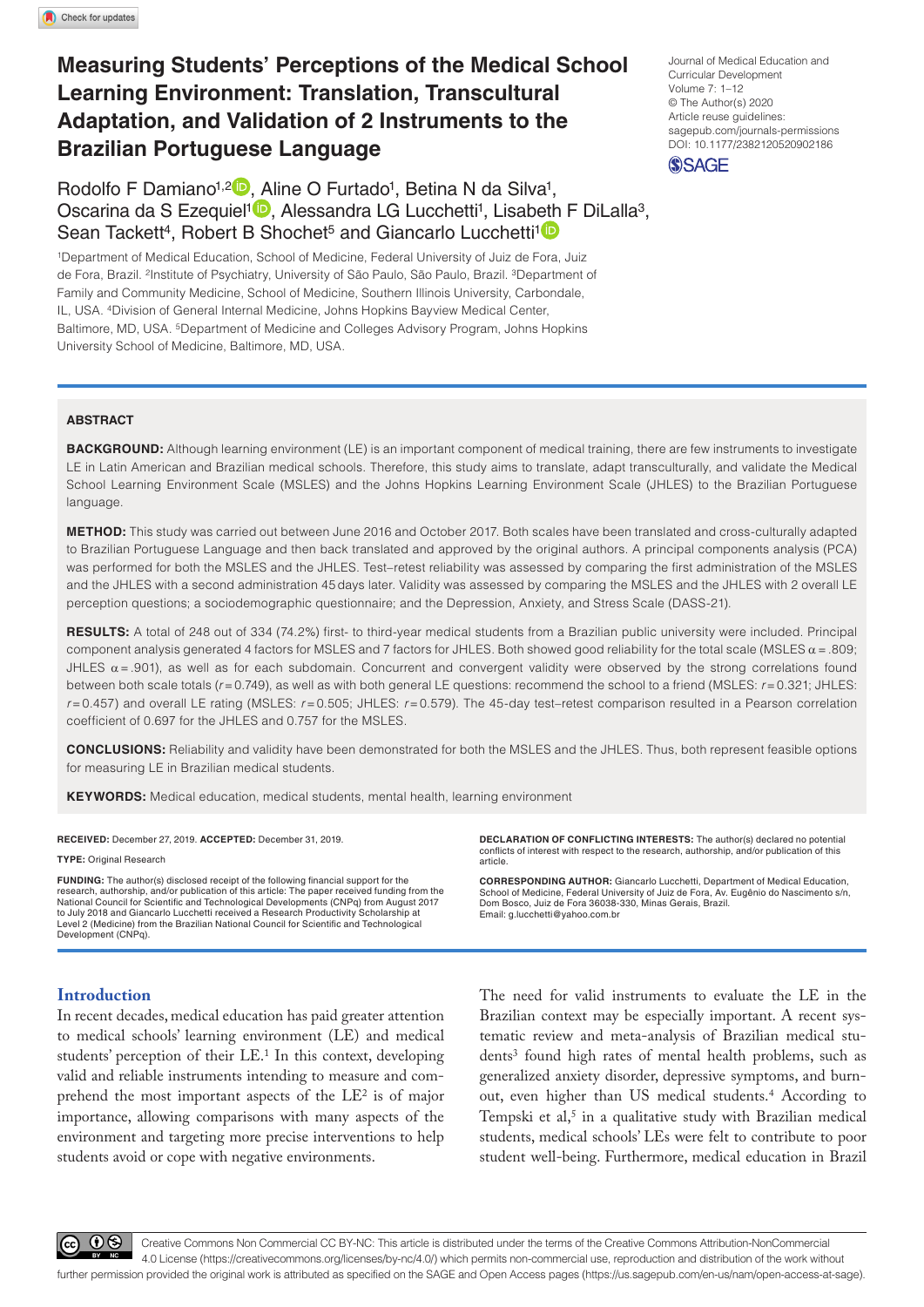# **Measuring Students' Perceptions of the Medical School Learning Environment: Translation, Transcultural Adaptation, and Validation of 2 Instruments to the Brazilian Portuguese Language**

Rodolfo F Damiano<sup>1,2</sup><sup>D</sup>, Aline O Furtado<sup>1</sup>, Betina N da Silva<sup>1</sup>, Oscarina da S Ezequiel<sup>1</sup><sup>1</sup>, Alessandra LG Lucchetti<sup>1</sup>, Lisabeth F DiLalla<sup>3</sup>, Sean Tackett<sup>4</sup>, Robert B Shochet<sup>5</sup> and Giancarlo Lucchetti<sup>1</sup><sup>D</sup>

1Department of Medical Education, School of Medicine, Federal University of Juiz de Fora, Juiz de Fora, Brazil. 2Institute of Psychiatry, University of São Paulo, São Paulo, Brazil. 3Department of Family and Community Medicine, School of Medicine, Southern Illinois University, Carbondale, IL, USA. 4Division of General Internal Medicine, Johns Hopkins Bayview Medical Center, Baltimore, MD, USA. 5Department of Medicine and Colleges Advisory Program, Johns Hopkins University School of Medicine, Baltimore, MD, USA.

DOI: 10.1177/2382120520902186 Journal of Medical Education and Curricular Development Volume 7: 1–12 © The Author(s) 2020 Article reuse guidelines: [sagepub.com/journals-permissions](https://uk.sagepub.com/en-gb/journals-permissions)



## **ABSTRACT**

**BACKGROUND:** Although learning environment (LE) is an important component of medical training, there are few instruments to investigate LE in Latin American and Brazilian medical schools. Therefore, this study aims to translate, adapt transculturally, and validate the Medical School Learning Environment Scale (MSLES) and the Johns Hopkins Learning Environment Scale (JHLES) to the Brazilian Portuguese language.

**Method:** This study was carried out between June 2016 and October 2017. Both scales have been translated and cross-culturally adapted to Brazilian Portuguese Language and then back translated and approved by the original authors. A principal components analysis (PCA) was performed for both the MSLES and the JHLES. Test–retest reliability was assessed by comparing the first administration of the MSLES and the JHLES with a second administration 45days later. Validity was assessed by comparing the MSLES and the JHLES with 2 overall LE perception questions; a sociodemographic questionnaire; and the Depression, Anxiety, and Stress Scale (DASS-21).

**Results:** A total of 248 out of 334 (74.2%) first- to third-year medical students from a Brazilian public university were included. Principal component analysis generated 4 factors for MSLES and 7 factors for JHLES. Both showed good reliability for the total scale (MSLES  $\alpha$  = .809; JHLES  $\alpha$  = .901), as well as for each subdomain. Concurrent and convergent validity were observed by the strong correlations found between both scale totals (*r*=0.749), as well as with both general LE questions: recommend the school to a friend (MSLES: *r*=0.321; JHLES: *r*=0.457) and overall LE rating (MSLES: *r*=0.505; JHLES: *r*=0.579). The 45-day test–retest comparison resulted in a Pearson correlation coefficient of 0.697 for the JHLES and 0.757 for the MSLES.

**Conclusions:** Reliability and validity have been demonstrated for both the MSLES and the JHLES. Thus, both represent feasible options for measuring LE in Brazilian medical students.

article.

Email: [g.lucchetti@yahoo.com.br](mailto:g.lucchetti@yahoo.com.br)

**Keywords:** Medical education, medical students, mental health, learning environment

**RECEIVED:** December 27, 2019. **ACCEPTED:** December 31, 2019.

**Type:** Original Research

**FUNDING:** The author(s) disclosed receipt of the following financial support for the research, authorship, and/or publication of this article: The paper received funding from the National Council for Scientific and Technological Developments (CNPq) from August 2017 to July 2018 and Giancarlo Lucchetti received a Research Productivity Scholarship at Level 2 (Medicine) from the Brazilian National Council for Scientific and Technological Development (CNPq).

# **Introduction**

In recent decades, medical education has paid greater attention to medical schools' learning environment (LE) and medical students' perception of their LE.1 In this context, developing valid and reliable instruments intending to measure and comprehend the most important aspects of the LE2 is of major importance, allowing comparisons with many aspects of the environment and targeting more precise interventions to help students avoid or cope with negative environments.

The need for valid instruments to evaluate the LE in the Brazilian context may be especially important. A recent systematic review and meta-analysis of Brazilian medical students3 found high rates of mental health problems, such as generalized anxiety disorder, depressive symptoms, and burnout, even higher than US medical students.4 According to Tempski et al,<sup>5</sup> in a qualitative study with Brazilian medical students, medical schools' LEs were felt to contribute to poor student well-being. Furthermore, medical education in Brazil

**Declaration of conflicting interests:** The author(s) declared no potential conflicts of interest with respect to the research, authorship, and/or publication of this

**CORRESPONDING AUTHOR:** Giancarlo Lucchetti, Department of Medical Education, School of Medicine, Federal University of Juiz de Fora, Av. Eugênio do Nascimento s/n, Dom Bosco, Juiz de Fora 36038-330, Minas Gerais, Brazil.

60 Q

Creative Commons Non Commercial CC BY-NC: This article is distributed under the terms of the Creative Commons Attribution-NonCommercial 4.0 License (https://creativecommons.org/licenses/by-nc/4.0/) which permits non-commercial use, reproduction and distribution of the work without further permission provided the original work is attributed as specified on the SAGE and Open Access pages (https://us.sagepub.com/en-us/nam/open-access-at-sage).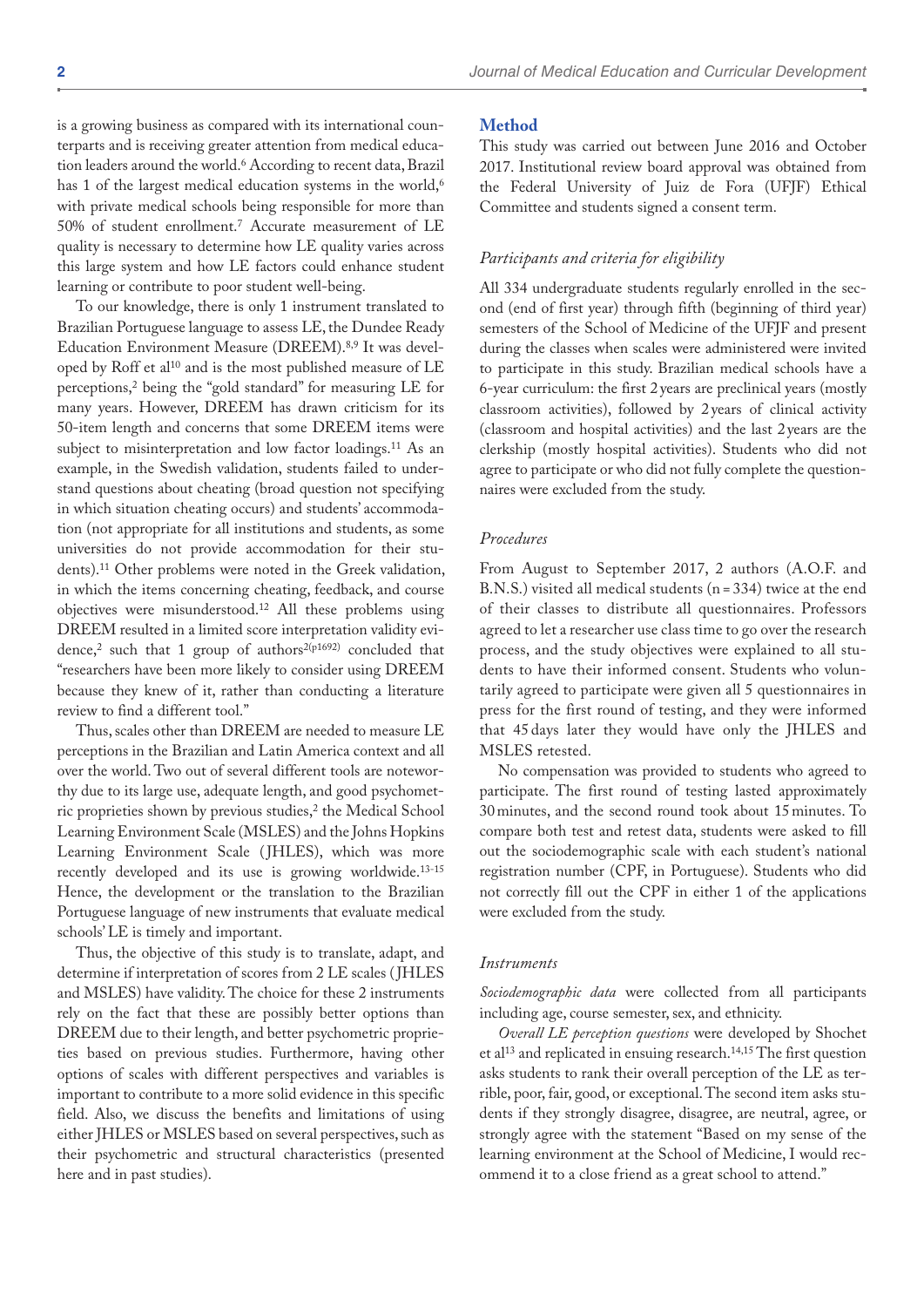is a growing business as compared with its international counterparts and is receiving greater attention from medical education leaders around the world.6 According to recent data, Brazil has 1 of the largest medical education systems in the world,<sup>6</sup> with private medical schools being responsible for more than 50% of student enrollment.7 Accurate measurement of LE quality is necessary to determine how LE quality varies across this large system and how LE factors could enhance student learning or contribute to poor student well-being.

To our knowledge, there is only 1 instrument translated to Brazilian Portuguese language to assess LE, the Dundee Ready Education Environment Measure (DREEM).8,9 It was developed by Roff et al<sup>10</sup> and is the most published measure of LE perceptions,2 being the "gold standard" for measuring LE for many years. However, DREEM has drawn criticism for its 50-item length and concerns that some DREEM items were subject to misinterpretation and low factor loadings.<sup>11</sup> As an example, in the Swedish validation, students failed to understand questions about cheating (broad question not specifying in which situation cheating occurs) and students' accommodation (not appropriate for all institutions and students, as some universities do not provide accommodation for their students).11 Other problems were noted in the Greek validation, in which the items concerning cheating, feedback, and course objectives were misunderstood.12 All these problems using DREEM resulted in a limited score interpretation validity evidence,<sup>2</sup> such that 1 group of authors<sup>2(p1692)</sup> concluded that "researchers have been more likely to consider using DREEM because they knew of it, rather than conducting a literature review to find a different tool."

Thus, scales other than DREEM are needed to measure LE perceptions in the Brazilian and Latin America context and all over the world. Two out of several different tools are noteworthy due to its large use, adequate length, and good psychometric proprieties shown by previous studies,<sup>2</sup> the Medical School Learning Environment Scale (MSLES) and the Johns Hopkins Learning Environment Scale (JHLES), which was more recently developed and its use is growing worldwide.13-15 Hence, the development or the translation to the Brazilian Portuguese language of new instruments that evaluate medical schools' LE is timely and important.

Thus, the objective of this study is to translate, adapt, and determine if interpretation of scores from 2 LE scales ( JHLES and MSLES) have validity. The choice for these 2 instruments rely on the fact that these are possibly better options than DREEM due to their length, and better psychometric proprieties based on previous studies. Furthermore, having other options of scales with different perspectives and variables is important to contribute to a more solid evidence in this specific field. Also, we discuss the benefits and limitations of using either JHLES or MSLES based on several perspectives, such as their psychometric and structural characteristics (presented here and in past studies).

## **Method**

This study was carried out between June 2016 and October 2017. Institutional review board approval was obtained from the Federal University of Juiz de Fora (UFJF) Ethical Committee and students signed a consent term.

## *Participants and criteria for eligibility*

All 334 undergraduate students regularly enrolled in the second (end of first year) through fifth (beginning of third year) semesters of the School of Medicine of the UFJF and present during the classes when scales were administered were invited to participate in this study. Brazilian medical schools have a 6-year curriculum: the first 2years are preclinical years (mostly classroom activities), followed by 2 years of clinical activity (classroom and hospital activities) and the last 2 years are the clerkship (mostly hospital activities). Students who did not agree to participate or who did not fully complete the questionnaires were excluded from the study.

## *Procedures*

From August to September 2017, 2 authors (A.O.F. and B.N.S.) visited all medical students (n = 334) twice at the end of their classes to distribute all questionnaires. Professors agreed to let a researcher use class time to go over the research process, and the study objectives were explained to all students to have their informed consent. Students who voluntarily agreed to participate were given all 5 questionnaires in press for the first round of testing, and they were informed that 45 days later they would have only the JHLES and MSLES retested.

No compensation was provided to students who agreed to participate. The first round of testing lasted approximately 30minutes, and the second round took about 15minutes. To compare both test and retest data, students were asked to fill out the sociodemographic scale with each student's national registration number (CPF, in Portuguese). Students who did not correctly fill out the CPF in either 1 of the applications were excluded from the study.

## *Instruments*

*Sociodemographic data* were collected from all participants including age, course semester, sex, and ethnicity.

*Overall LE perception questions* were developed by Shochet et al<sup>13</sup> and replicated in ensuing research.<sup>14,15</sup> The first question asks students to rank their overall perception of the LE as terrible, poor, fair, good, or exceptional. The second item asks students if they strongly disagree, disagree, are neutral, agree, or strongly agree with the statement "Based on my sense of the learning environment at the School of Medicine, I would recommend it to a close friend as a great school to attend."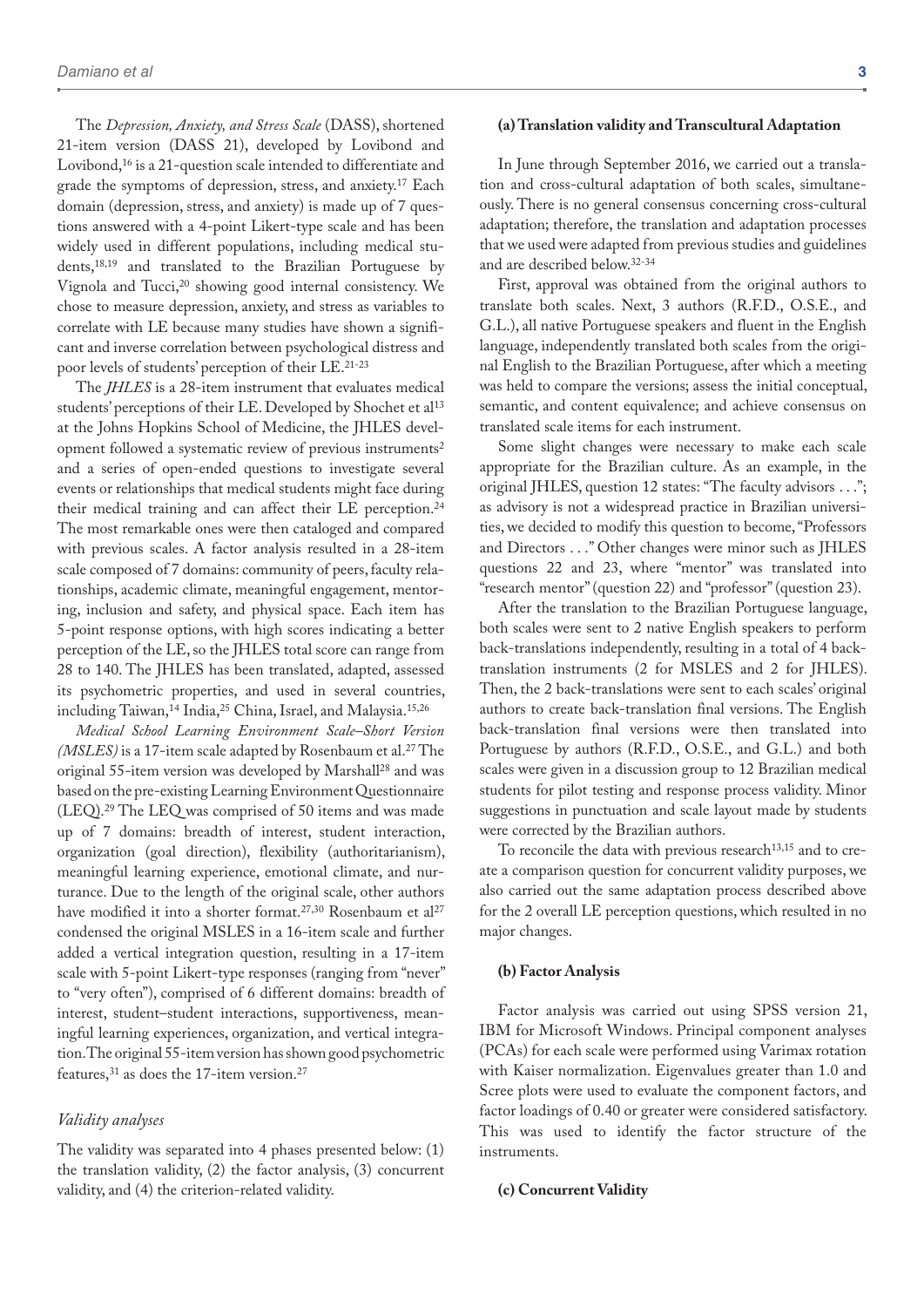The *Depression, Anxiety, and Stress Scale* (DASS), shortened 21-item version (DASS 21), developed by Lovibond and Lovibond,<sup>16</sup> is a 21-question scale intended to differentiate and grade the symptoms of depression, stress, and anxiety.17 Each domain (depression, stress, and anxiety) is made up of 7 questions answered with a 4-point Likert-type scale and has been widely used in different populations, including medical students,18,19 and translated to the Brazilian Portuguese by Vignola and Tucci,20 showing good internal consistency. We chose to measure depression, anxiety, and stress as variables to correlate with LE because many studies have shown a significant and inverse correlation between psychological distress and poor levels of students' perception of their LE.21-23

The *JHLES* is a 28-item instrument that evaluates medical students' perceptions of their LE. Developed by Shochet et al<sup>13</sup> at the Johns Hopkins School of Medicine, the JHLES development followed a systematic review of previous instruments2 and a series of open-ended questions to investigate several events or relationships that medical students might face during their medical training and can affect their LE perception.<sup>24</sup> The most remarkable ones were then cataloged and compared with previous scales. A factor analysis resulted in a 28-item scale composed of 7 domains: community of peers, faculty relationships, academic climate, meaningful engagement, mentoring, inclusion and safety, and physical space. Each item has 5-point response options, with high scores indicating a better perception of the LE, so the JHLES total score can range from 28 to 140. The JHLES has been translated, adapted, assessed its psychometric properties, and used in several countries, including Taiwan,<sup>14</sup> India,<sup>25</sup> China, Israel, and Malaysia.<sup>15,26</sup>

*Medical School Learning Environment Scale–Short Version (MSLES)* is a 17-item scale adapted by Rosenbaum et al.<sup>27</sup> The original 55-item version was developed by Marshall<sup>28</sup> and was based on the pre-existing Learning Environment Questionnaire (LEQ).29 The LEQ was comprised of 50 items and was made up of 7 domains: breadth of interest, student interaction, organization (goal direction), flexibility (authoritarianism), meaningful learning experience, emotional climate, and nurturance. Due to the length of the original scale, other authors have modified it into a shorter format.<sup>27,30</sup> Rosenbaum et al<sup>27</sup> condensed the original MSLES in a 16-item scale and further added a vertical integration question, resulting in a 17-item scale with 5-point Likert-type responses (ranging from "never" to "very often"), comprised of 6 different domains: breadth of interest, student–student interactions, supportiveness, meaningful learning experiences, organization, and vertical integration. The original 55-item version has shown good psychometric features, $31$  as does the 17-item version. $27$ 

## *Validity analyses*

The validity was separated into 4 phases presented below: (1) the translation validity, (2) the factor analysis, (3) concurrent validity, and (4) the criterion-related validity.

## **(a) Translation validity and Transcultural Adaptation**

In June through September 2016, we carried out a translation and cross-cultural adaptation of both scales, simultaneously. There is no general consensus concerning cross-cultural adaptation; therefore, the translation and adaptation processes that we used were adapted from previous studies and guidelines and are described below.32-34

First, approval was obtained from the original authors to translate both scales. Next, 3 authors (R.F.D., O.S.E., and G.L.), all native Portuguese speakers and fluent in the English language, independently translated both scales from the original English to the Brazilian Portuguese, after which a meeting was held to compare the versions; assess the initial conceptual, semantic, and content equivalence; and achieve consensus on translated scale items for each instrument.

Some slight changes were necessary to make each scale appropriate for the Brazilian culture. As an example, in the original JHLES, question 12 states: "The faculty advisors . . ."; as advisory is not a widespread practice in Brazilian universities, we decided to modify this question to become, "Professors and Directors . . ." Other changes were minor such as JHLES questions 22 and 23, where "mentor" was translated into "research mentor" (question 22) and "professor" (question 23).

After the translation to the Brazilian Portuguese language, both scales were sent to 2 native English speakers to perform back-translations independently, resulting in a total of 4 backtranslation instruments (2 for MSLES and 2 for JHLES). Then, the 2 back-translations were sent to each scales' original authors to create back-translation final versions. The English back-translation final versions were then translated into Portuguese by authors (R.F.D., O.S.E., and G.L.) and both scales were given in a discussion group to 12 Brazilian medical students for pilot testing and response process validity. Minor suggestions in punctuation and scale layout made by students were corrected by the Brazilian authors.

To reconcile the data with previous research<sup>13,15</sup> and to create a comparison question for concurrent validity purposes, we also carried out the same adaptation process described above for the 2 overall LE perception questions, which resulted in no major changes.

#### **(b) Factor Analysis**

Factor analysis was carried out using SPSS version 21, IBM for Microsoft Windows. Principal component analyses (PCAs) for each scale were performed using Varimax rotation with Kaiser normalization. Eigenvalues greater than 1.0 and Scree plots were used to evaluate the component factors, and factor loadings of 0.40 or greater were considered satisfactory. This was used to identify the factor structure of the instruments.

#### **(c) Concurrent Validity**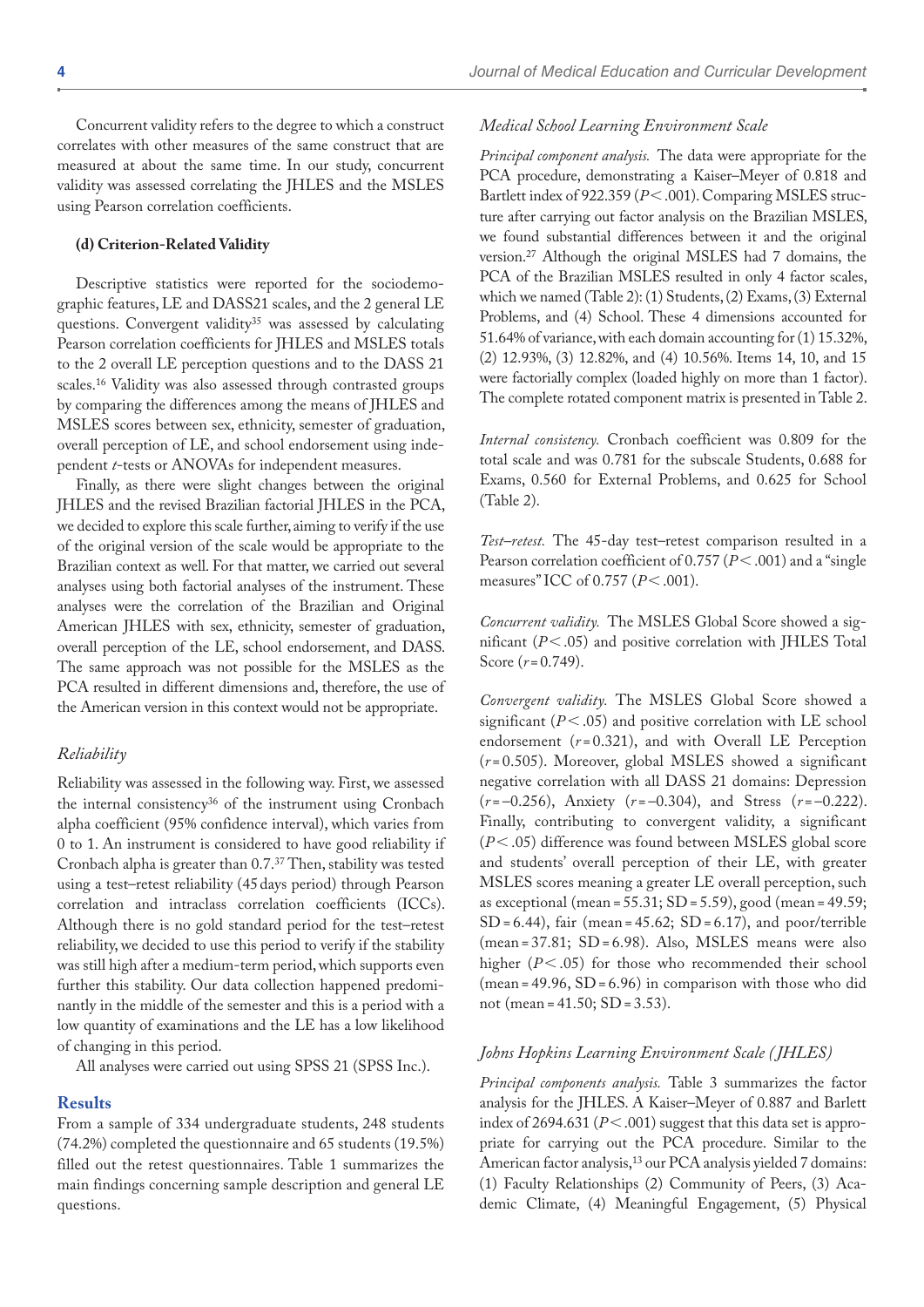Concurrent validity refers to the degree to which a construct correlates with other measures of the same construct that are measured at about the same time. In our study, concurrent validity was assessed correlating the JHLES and the MSLES using Pearson correlation coefficients.

## **(d) Criterion-Related Validity**

Descriptive statistics were reported for the sociodemographic features, LE and DASS21 scales, and the 2 general LE questions. Convergent validity<sup>35</sup> was assessed by calculating Pearson correlation coefficients for JHLES and MSLES totals to the 2 overall LE perception questions and to the DASS 21 scales.16 Validity was also assessed through contrasted groups by comparing the differences among the means of JHLES and MSLES scores between sex, ethnicity, semester of graduation, overall perception of LE, and school endorsement using independent *t*-tests or ANOVAs for independent measures.

Finally, as there were slight changes between the original JHLES and the revised Brazilian factorial JHLES in the PCA, we decided to explore this scale further, aiming to verify if the use of the original version of the scale would be appropriate to the Brazilian context as well. For that matter, we carried out several analyses using both factorial analyses of the instrument. These analyses were the correlation of the Brazilian and Original American JHLES with sex, ethnicity, semester of graduation, overall perception of the LE, school endorsement, and DASS. The same approach was not possible for the MSLES as the PCA resulted in different dimensions and, therefore, the use of the American version in this context would not be appropriate.

## *Reliability*

Reliability was assessed in the following way. First, we assessed the internal consistency<sup>36</sup> of the instrument using Cronbach alpha coefficient (95% confidence interval), which varies from 0 to 1. An instrument is considered to have good reliability if Cronbach alpha is greater than 0.7.37 Then, stability was tested using a test–retest reliability (45days period) through Pearson correlation and intraclass correlation coefficients (ICCs). Although there is no gold standard period for the test–retest reliability, we decided to use this period to verify if the stability was still high after a medium-term period, which supports even further this stability. Our data collection happened predominantly in the middle of the semester and this is a period with a low quantity of examinations and the LE has a low likelihood of changing in this period.

All analyses were carried out using SPSS 21 (SPSS Inc.).

## **Results**

From a sample of 334 undergraduate students, 248 students (74.2%) completed the questionnaire and 65 students (19.5%) filled out the retest questionnaires. Table 1 summarizes the main findings concerning sample description and general LE questions.

## *Medical School Learning Environment Scale*

*Principal component analysis.* The data were appropriate for the PCA procedure, demonstrating a Kaiser–Meyer of 0.818 and Bartlett index of 922.359 (*P*<.001). Comparing MSLES structure after carrying out factor analysis on the Brazilian MSLES, we found substantial differences between it and the original version.27 Although the original MSLES had 7 domains, the PCA of the Brazilian MSLES resulted in only 4 factor scales, which we named (Table 2): (1) Students, (2) Exams, (3) External Problems, and (4) School. These 4 dimensions accounted for 51.64% of variance, with each domain accounting for (1) 15.32%, (2) 12.93%, (3) 12.82%, and (4) 10.56%. Items 14, 10, and 15 were factorially complex (loaded highly on more than 1 factor). The complete rotated component matrix is presented in Table 2.

*Internal consistency.* Cronbach coefficient was 0.809 for the total scale and was 0.781 for the subscale Students, 0.688 for Exams, 0.560 for External Problems, and 0.625 for School (Table 2).

*Test–retest.* The 45-day test–retest comparison resulted in a Pearson correlation coefficient of 0.757 (*P*<.001) and a "single measures" ICC of 0.757 (*P*<.001).

*Concurrent validity.* The MSLES Global Score showed a significant (*P*<.05) and positive correlation with JHLES Total Score (*r*=0.749).

*Convergent validity.* The MSLES Global Score showed a significant  $(P < .05)$  and positive correlation with LE school endorsement  $(r=0.321)$ , and with Overall LE Perception (*r* = 0.505). Moreover, global MSLES showed a significant negative correlation with all DASS 21 domains: Depression (*r* = –0.256), Anxiety (*r* = –0.304), and Stress (*r* = –0.222). Finally, contributing to convergent validity, a significant (*P* < .05) difference was found between MSLES global score and students' overall perception of their LE, with greater MSLES scores meaning a greater LE overall perception, such as exceptional (mean = 55.31; SD = 5.59), good (mean = 49.59;  $SD = 6.44$ ), fair (mean =  $45.62$ ;  $SD = 6.17$ ), and poor/terrible  $(mean = 37.81; SD = 6.98)$ . Also, MSLES means were also higher ( $P < .05$ ) for those who recommended their school  $(mean = 49.96, SD = 6.96)$  in comparison with those who did not (mean = 41.50; SD = 3.53).

## *Johns Hopkins Learning Environment Scale ( JHLES)*

*Principal components analysis.* Table 3 summarizes the factor analysis for the JHLES. A Kaiser–Meyer of 0.887 and Barlett index of 2694.631 (*P*<.001) suggest that this data set is appropriate for carrying out the PCA procedure. Similar to the American factor analysis,13 our PCA analysis yielded 7 domains: (1) Faculty Relationships (2) Community of Peers, (3) Academic Climate, (4) Meaningful Engagement, (5) Physical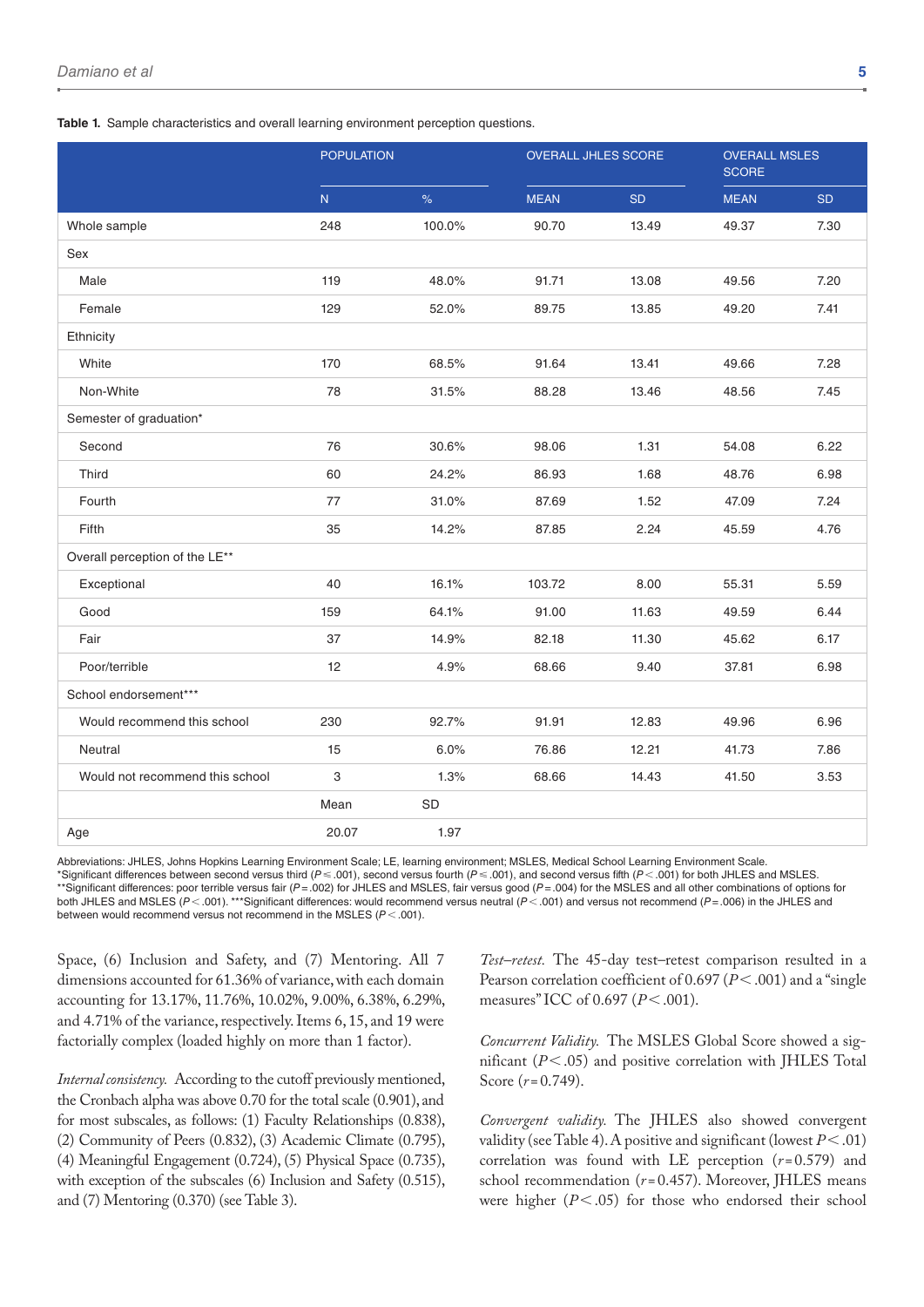**Table 1.** Sample characteristics and overall learning environment perception questions.

|                                 | <b>POPULATION</b> |        | <b>OVERALL JHLES SCORE</b> |           | <b>OVERALL MSLES</b><br><b>SCORE</b> |           |
|---------------------------------|-------------------|--------|----------------------------|-----------|--------------------------------------|-----------|
|                                 | ${\sf N}$         | $\%$   | <b>MEAN</b>                | <b>SD</b> | <b>MEAN</b>                          | <b>SD</b> |
| Whole sample                    | 248               | 100.0% | 90.70                      | 13.49     | 49.37                                | 7.30      |
| Sex                             |                   |        |                            |           |                                      |           |
| Male                            | 119               | 48.0%  | 91.71                      | 13.08     | 49.56                                | 7.20      |
| Female                          | 129               | 52.0%  | 89.75                      | 13.85     | 49.20                                | 7.41      |
| Ethnicity                       |                   |        |                            |           |                                      |           |
| White                           | 170               | 68.5%  | 91.64                      | 13.41     | 49.66                                | 7.28      |
| Non-White                       | 78                | 31.5%  | 88.28                      | 13.46     | 48.56                                | 7.45      |
| Semester of graduation*         |                   |        |                            |           |                                      |           |
| Second                          | 76                | 30.6%  | 98.06                      | 1.31      | 54.08                                | 6.22      |
| Third                           | 60                | 24.2%  | 86.93                      | 1.68      | 48.76                                | 6.98      |
| Fourth                          | 77                | 31.0%  | 87.69                      | 1.52      | 47.09                                | 7.24      |
| Fifth                           | 35                | 14.2%  | 87.85                      | 2.24      | 45.59                                | 4.76      |
| Overall perception of the LE**  |                   |        |                            |           |                                      |           |
| Exceptional                     | 40                | 16.1%  | 103.72                     | 8.00      | 55.31                                | 5.59      |
| Good                            | 159               | 64.1%  | 91.00                      | 11.63     | 49.59                                | 6.44      |
| Fair                            | 37                | 14.9%  | 82.18                      | 11.30     | 45.62                                | 6.17      |
| Poor/terrible                   | 12                | 4.9%   | 68.66                      | 9.40      | 37.81                                | 6.98      |
| School endorsement***           |                   |        |                            |           |                                      |           |
| Would recommend this school     | 230               | 92.7%  | 91.91                      | 12.83     | 49.96                                | 6.96      |
| Neutral                         | 15                | 6.0%   | 76.86                      | 12.21     | 41.73                                | 7.86      |
| Would not recommend this school | 3                 | 1.3%   | 68.66                      | 14.43     | 41.50                                | 3.53      |
|                                 | Mean              | SD     |                            |           |                                      |           |
| Age                             | 20.07             | 1.97   |                            |           |                                      |           |

Abbreviations: JHLES, Johns Hopkins Learning Environment Scale; LE, learning environment; MSLES, Medical School Learning Environment Scale.

\*Significant differences between second versus third (*P*⩽.001), second versus fourth (*P*⩽.001), and second versus fifth (*P*<.001) for both JHLES and MSLES. \*\*Significant differences: poor terrible versus fair (*P*=.002) for JHLES and MSLES, fair versus good (*P*=.004) for the MSLES and all other combinations of options for both JHLES and MSLES (*P*<.001). \*\*\*Significant differences: would recommend versus neutral (*P*<.001) and versus not recommend (*P*=.006) in the JHLES and between would recommend versus not recommend in the MSLES (*P*<.001).

Space, (6) Inclusion and Safety, and (7) Mentoring. All 7 dimensions accounted for 61.36% of variance, with each domain accounting for 13.17%, 11.76%, 10.02%, 9.00%, 6.38%, 6.29%, and 4.71% of the variance, respectively. Items 6, 15, and 19 were factorially complex (loaded highly on more than 1 factor).

*Internal consistency.* According to the cutoff previously mentioned, the Cronbach alpha was above 0.70 for the total scale (0.901), and for most subscales, as follows: (1) Faculty Relationships (0.838), (2) Community of Peers (0.832), (3) Academic Climate (0.795), (4) Meaningful Engagement (0.724), (5) Physical Space (0.735), with exception of the subscales (6) Inclusion and Safety (0.515), and (7) Mentoring (0.370) (see Table 3).

*Test–retest.* The 45-day test–retest comparison resulted in a Pearson correlation coefficient of 0.697 (*P*<.001) and a "single measures" ICC of 0.697 (*P*<.001).

*Concurrent Validity.* The MSLES Global Score showed a significant (*P*<.05) and positive correlation with JHLES Total Score  $(r=0.749)$ .

*Convergent validity.* The JHLES also showed convergent validity (see Table 4). A positive and significant (lowest  $P < .01$ ) correlation was found with LE perception (*r*=0.579) and school recommendation (*r*=0.457). Moreover, JHLES means were higher (*P*<.05) for those who endorsed their school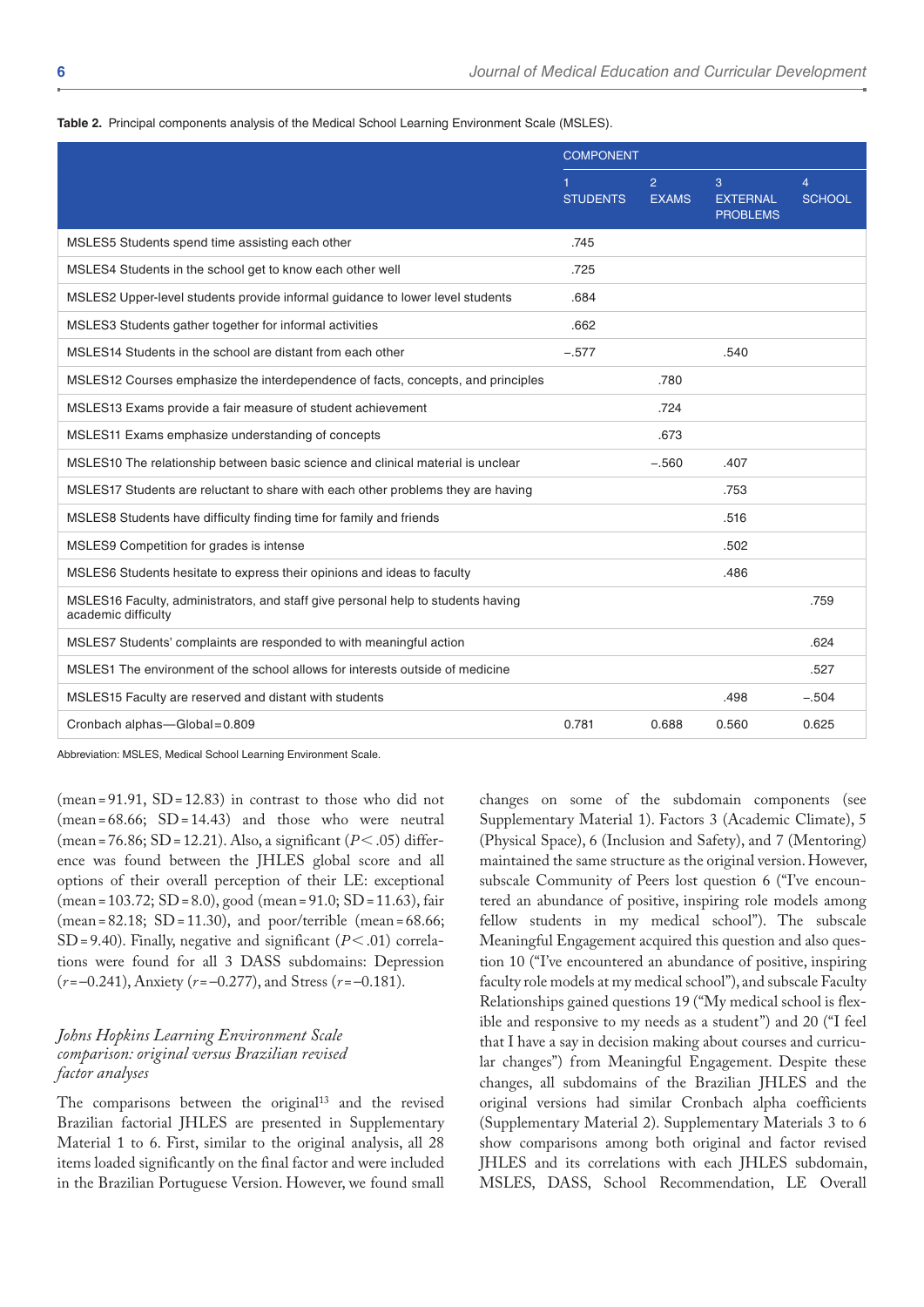|                                                                                                         | <b>COMPONENT</b> |                                |                                         |                                 |
|---------------------------------------------------------------------------------------------------------|------------------|--------------------------------|-----------------------------------------|---------------------------------|
|                                                                                                         | <b>STUDENTS</b>  | $\overline{2}$<br><b>EXAMS</b> | 3<br><b>EXTERNAL</b><br><b>PROBLEMS</b> | $\overline{4}$<br><b>SCHOOL</b> |
| MSLES5 Students spend time assisting each other                                                         | .745             |                                |                                         |                                 |
| MSLES4 Students in the school get to know each other well                                               | .725             |                                |                                         |                                 |
| MSLES2 Upper-level students provide informal guidance to lower level students                           | .684             |                                |                                         |                                 |
| MSLES3 Students gather together for informal activities                                                 | .662             |                                |                                         |                                 |
| MSLES14 Students in the school are distant from each other                                              | $-.577$          |                                | .540                                    |                                 |
| MSLES12 Courses emphasize the interdependence of facts, concepts, and principles                        |                  | .780                           |                                         |                                 |
| MSLES13 Exams provide a fair measure of student achievement                                             |                  | .724                           |                                         |                                 |
| MSLES11 Exams emphasize understanding of concepts                                                       |                  | .673                           |                                         |                                 |
| MSLES10 The relationship between basic science and clinical material is unclear                         |                  | $-.560$                        | .407                                    |                                 |
| MSLES17 Students are reluctant to share with each other problems they are having                        |                  |                                | .753                                    |                                 |
| MSLES8 Students have difficulty finding time for family and friends                                     |                  |                                | .516                                    |                                 |
| MSLES9 Competition for grades is intense                                                                |                  |                                | .502                                    |                                 |
| MSLES6 Students hesitate to express their opinions and ideas to faculty                                 |                  |                                | .486                                    |                                 |
| MSLES16 Faculty, administrators, and staff give personal help to students having<br>academic difficulty |                  |                                |                                         | .759                            |
| MSLES7 Students' complaints are responded to with meaningful action                                     |                  |                                |                                         | .624                            |
| MSLES1 The environment of the school allows for interests outside of medicine                           |                  |                                |                                         | .527                            |
| MSLES15 Faculty are reserved and distant with students                                                  |                  |                                | .498                                    | $-.504$                         |
| Cronbach alphas-Global=0.809                                                                            | 0.781            | 0.688                          | 0.560                                   | 0.625                           |

|  |  |  | Table 2. Principal components analysis of the Medical School Learning Environment Scale (MSLES). |  |
|--|--|--|--------------------------------------------------------------------------------------------------|--|
|--|--|--|--------------------------------------------------------------------------------------------------|--|

Abbreviation: MSLES, Medical School Learning Environment Scale.

(mean=91.91, SD=12.83) in contrast to those who did not  $(mean=68.66; SD=14.43)$  and those who were neutral (mean=76.86; SD= 12.21). Also, a significant (*P*<.05) difference was found between the JHLES global score and all options of their overall perception of their LE: exceptional (mean= 103.72; SD=8.0), good (mean= 91.0; SD=11.63), fair  $(mean = 82.18; SD = 11.30)$ , and poor/terrible  $(mean = 68.66;$ SD=9.40). Finally, negative and significant (*P*<.01) correlations were found for all 3 DASS subdomains: Depression (*r*=–0.241), Anxiety (*r* =–0.277), and Stress (*r*=–0.181).

# *Johns Hopkins Learning Environment Scale comparison: original versus Brazilian revised factor analyses*

The comparisons between the original<sup>13</sup> and the revised Brazilian factorial JHLES are presented in [Supplementary](https://journals.sagepub.com/doi/suppl/10.1177/2382120520902186) [Material 1 to 6](https://journals.sagepub.com/doi/suppl/10.1177/2382120520902186). First, similar to the original analysis, all 28 items loaded significantly on the final factor and were included in the Brazilian Portuguese Version. However, we found small

changes on some of the subdomain components (see [Supplementary Material 1](https://journals.sagepub.com/doi/suppl/10.1177/2382120520902186)). Factors 3 (Academic Climate), 5 (Physical Space), 6 (Inclusion and Safety), and 7 (Mentoring) maintained the same structure as the original version. However, subscale Community of Peers lost question 6 ("I've encountered an abundance of positive, inspiring role models among fellow students in my medical school"). The subscale Meaningful Engagement acquired this question and also question 10 ("I've encountered an abundance of positive, inspiring faculty role models at my medical school"), and subscale Faculty Relationships gained questions 19 ("My medical school is flexible and responsive to my needs as a student") and 20 ("I feel that I have a say in decision making about courses and curricular changes") from Meaningful Engagement. Despite these changes, all subdomains of the Brazilian JHLES and the original versions had similar Cronbach alpha coefficients [\(Supplementary Material 2](https://journals.sagepub.com/doi/suppl/10.1177/2382120520902186)). [Supplementary Materials 3 to 6](https://journals.sagepub.com/doi/suppl/10.1177/2382120520902186) show comparisons among both original and factor revised JHLES and its correlations with each JHLES subdomain, MSLES, DASS, School Recommendation, LE Overall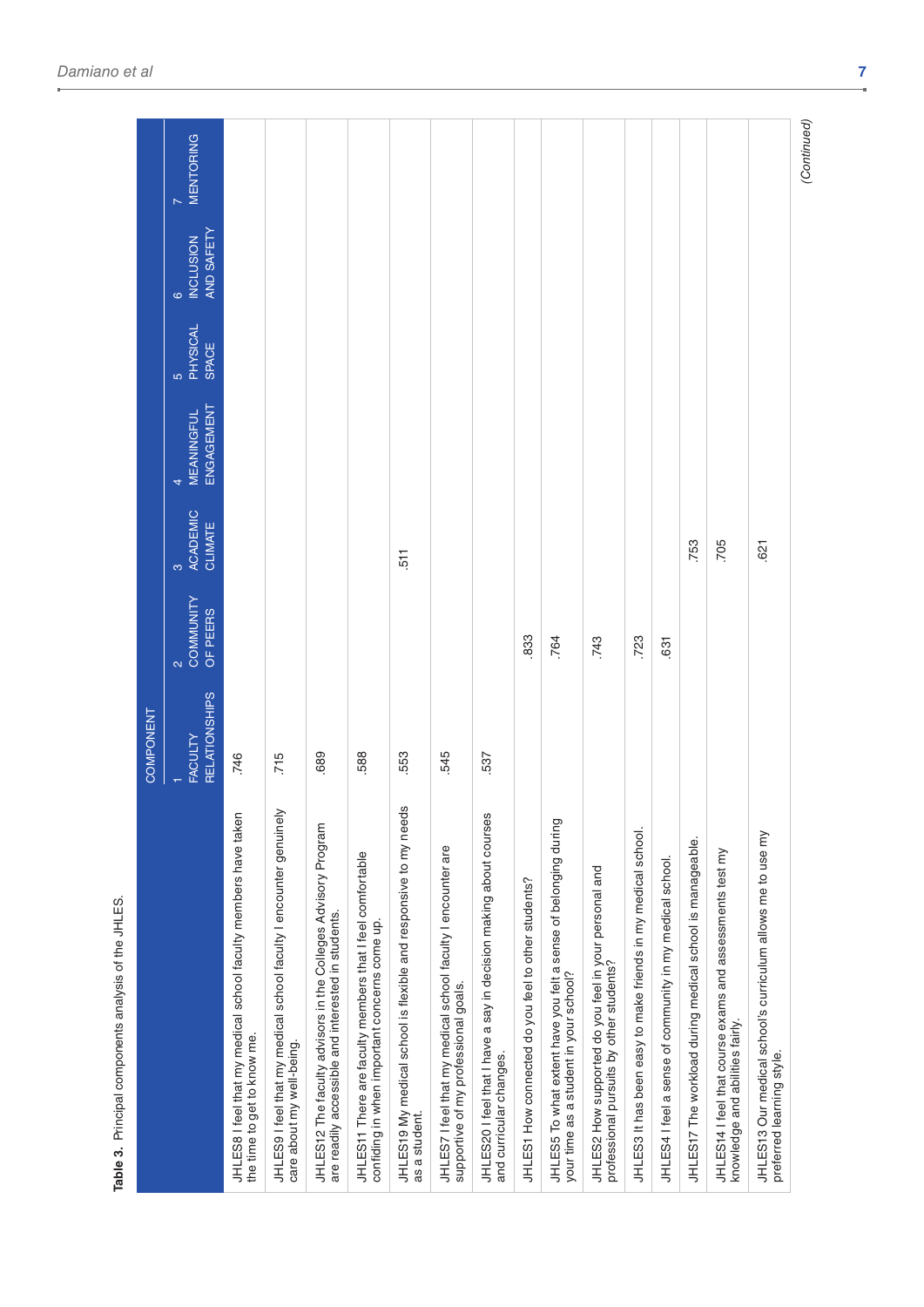|                                                                                                                     | COMPONENT                              |                                                         |                          |                                      |                               |                                           |                  |
|---------------------------------------------------------------------------------------------------------------------|----------------------------------------|---------------------------------------------------------|--------------------------|--------------------------------------|-------------------------------|-------------------------------------------|------------------|
|                                                                                                                     | <b>RELATIONSHIPS</b><br><b>FACULTY</b> | <b>COMMUNITY</b><br>OF PEERS<br>$\overline{\mathsf{N}}$ | ACADEMIC<br>CLIMATE<br>S | ENGAGEMENT<br><b>MEANINGFUL</b><br>4 | <b>PHYSICAL</b><br>SPACE<br>5 | AND SAFETY<br><b>INCLUSION</b><br>$\circ$ | <b>MENTORING</b> |
| JHLES8 I feel that my medical school faculty members have taken<br>the time to get to know me.                      | .746                                   |                                                         |                          |                                      |                               |                                           |                  |
| JHLES9 I feel that my medical school faculty I encounter genuinely<br>care about my well-being.                     | 715                                    |                                                         |                          |                                      |                               |                                           |                  |
| JHLES12 The faculty advisors in the Colleges Advisory Program<br>are readily accessible and interested in students. | .689                                   |                                                         |                          |                                      |                               |                                           |                  |
| JHLES11 There are faculty members that I feel comfortable<br>confiding in when important concerns come up.          | 588                                    |                                                         |                          |                                      |                               |                                           |                  |
| $\omega$<br>JHLES19 My medical school is flexible and responsive to my need<br>as a student.                        | 553                                    |                                                         | 511                      |                                      |                               |                                           |                  |
| JHLES7 I feel that my medical school faculty I encounter are<br>supportive of my professional goals.                | 545                                    |                                                         |                          |                                      |                               |                                           |                  |
| JHLES20 I feel that I have a say in decision making about courses<br>and curricular changes.                        | 537                                    |                                                         |                          |                                      |                               |                                           |                  |
| JHLES1 How connected do you feel to other students?                                                                 |                                        | 833                                                     |                          |                                      |                               |                                           |                  |
| JHLES5 To what extent have you felt a sense of belonging during<br>your time as a student in your school?           |                                        | .764                                                    |                          |                                      |                               |                                           |                  |
| JHLES2 How supported do you feel in your personal and<br>professional pursuits by other students?                   |                                        | 743                                                     |                          |                                      |                               |                                           |                  |
| JHLES3 It has been easy to make friends in my medical school.                                                       |                                        | 723                                                     |                          |                                      |                               |                                           |                  |
| JHLES4 I feel a sense of community in my medical school.                                                            |                                        | 631                                                     |                          |                                      |                               |                                           |                  |
| JHLES17 The workload during medical school is manageable.                                                           |                                        |                                                         | 753                      |                                      |                               |                                           |                  |
| JHLES14 I feel that course exams and assessments test my<br>knowledge and abilities fairly.                         |                                        |                                                         | 705                      |                                      |                               |                                           |                  |
| JHLES13 Our medical school's curriculum allows me to use my<br>preferred learning style.                            |                                        |                                                         | 621                      |                                      |                               |                                           |                  |

Table 3. Principal components analysis of the JHLES. **Table 3.** Principal components analysis of the JHLES.

(Continued)  *(Continued)*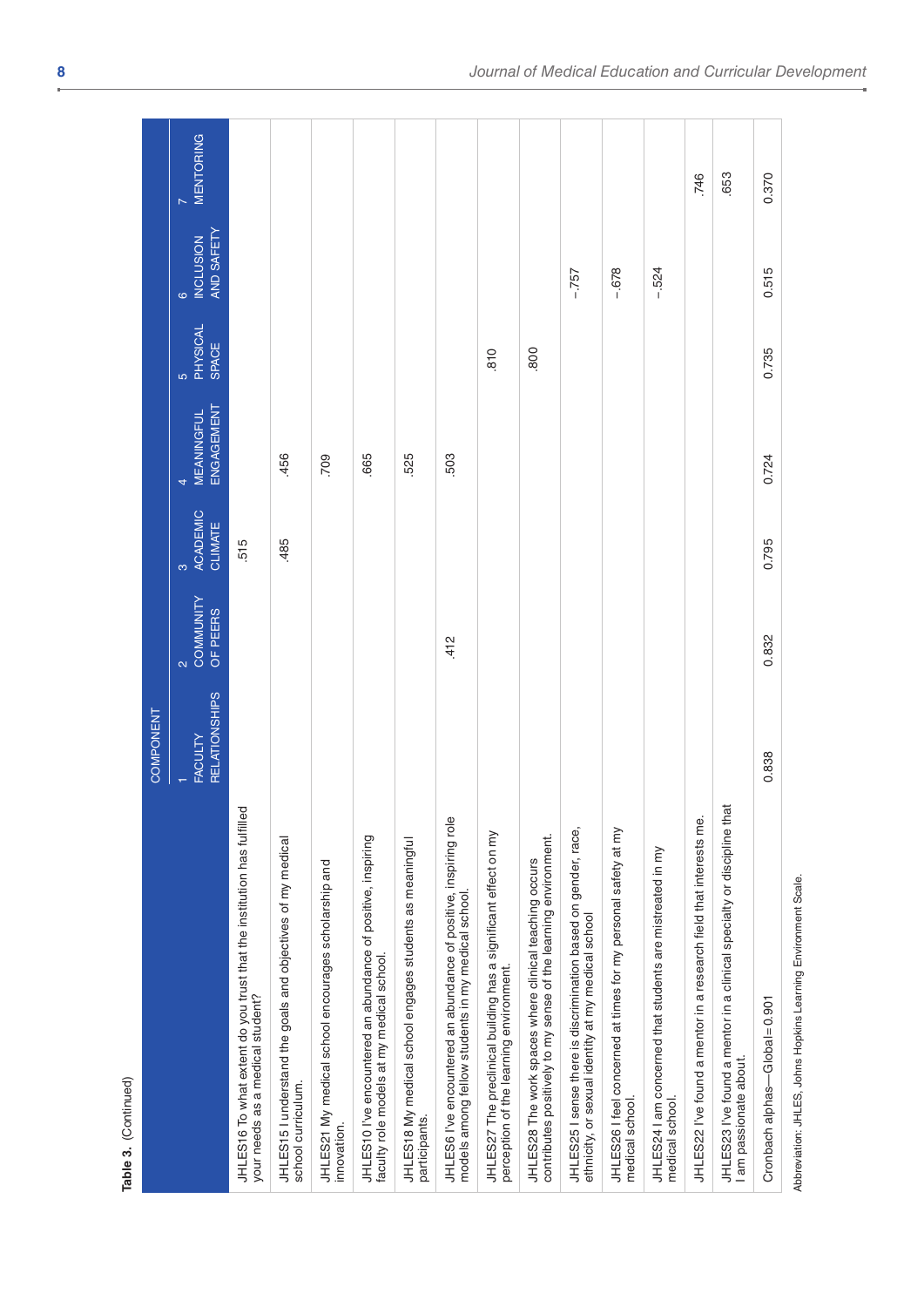| Table 3. (Continued)                                                                                                      |                                 |                                                  |                                  |                                      |                        |                                           |                  |
|---------------------------------------------------------------------------------------------------------------------------|---------------------------------|--------------------------------------------------|----------------------------------|--------------------------------------|------------------------|-------------------------------------------|------------------|
|                                                                                                                           | COMPONENT                       |                                                  |                                  |                                      |                        |                                           |                  |
|                                                                                                                           | <b>RELATIONSHIPS</b><br>FACULTY | COMMUNITY<br>OF PEERS<br>$\overline{\mathsf{c}}$ | <b>ACADEMIC</b><br>CLIMATE<br>ဇာ | ENGAGEMENT<br><b>MEANINGFUL</b><br>4 | PHYSICAL<br>SPACE<br>Ю | AND SAFETY<br><b>INCLUSION</b><br>$\circ$ | <b>MENTORING</b> |
| JHLES16 To what extent do you trust that the institution has fulfilled<br>your needs as a medical student?                |                                 |                                                  | 515                              |                                      |                        |                                           |                  |
| JHLES15 I understand the goals and objectives of my medical<br>school curriculum.                                         |                                 |                                                  | 485                              | 456                                  |                        |                                           |                  |
| JHLES21 My medical school encourages scholarship and<br>innovation.                                                       |                                 |                                                  |                                  | 709                                  |                        |                                           |                  |
| JHLES10 I've encountered an abundance of positive, inspiring<br>faculty role models at my medical school.                 |                                 |                                                  |                                  | .665                                 |                        |                                           |                  |
| JHLES18 My medical school engages students as meaningful<br>participants.                                                 |                                 |                                                  |                                  | 525                                  |                        |                                           |                  |
| JHLES6 I've encountered an abundance of positive, inspiring role<br>models among fellow students in my medical school.    |                                 | 412                                              |                                  | .503                                 |                        |                                           |                  |
| JHLES27 The preclinical building has a significant effect on my<br>perception of the learning environment.                |                                 |                                                  |                                  |                                      | 810                    |                                           |                  |
| contributes positively to my sense of the learning environment.<br>JHLES28 The work spaces where clinical teaching occurs |                                 |                                                  |                                  |                                      | 800                    |                                           |                  |
| JHLES25 I sense there is discrimination based on gender, race,<br>ethnicity, or sexual identity at my medical school      |                                 |                                                  |                                  |                                      |                        | $-757$                                    |                  |
| JHLES26 I feel concerned at times for my personal safety at my<br>medical school.                                         |                                 |                                                  |                                  |                                      |                        | $-0.678$                                  |                  |
| JHLES24 I am concerned that students are mistreated in my<br>medical school.                                              |                                 |                                                  |                                  |                                      |                        | $-0.524$                                  |                  |
| JHLES22 I've found a mentor in a research field that interests me.                                                        |                                 |                                                  |                                  |                                      |                        |                                           | 746              |
| JHLES23 I've found a mentor in a clinical specialty or discipline that<br>I am passionate about.                          |                                 |                                                  |                                  |                                      |                        |                                           | 653              |
| Cronbach alphas-Global=0.901                                                                                              | 0.838                           | 0.832                                            | 0.795                            | 0.724                                | 0.735                  | 0.515                                     | 0.370            |
| Abbreviation: JHLES, Johns Hopkins Learning Environment Scale.                                                            |                                 |                                                  |                                  |                                      |                        |                                           |                  |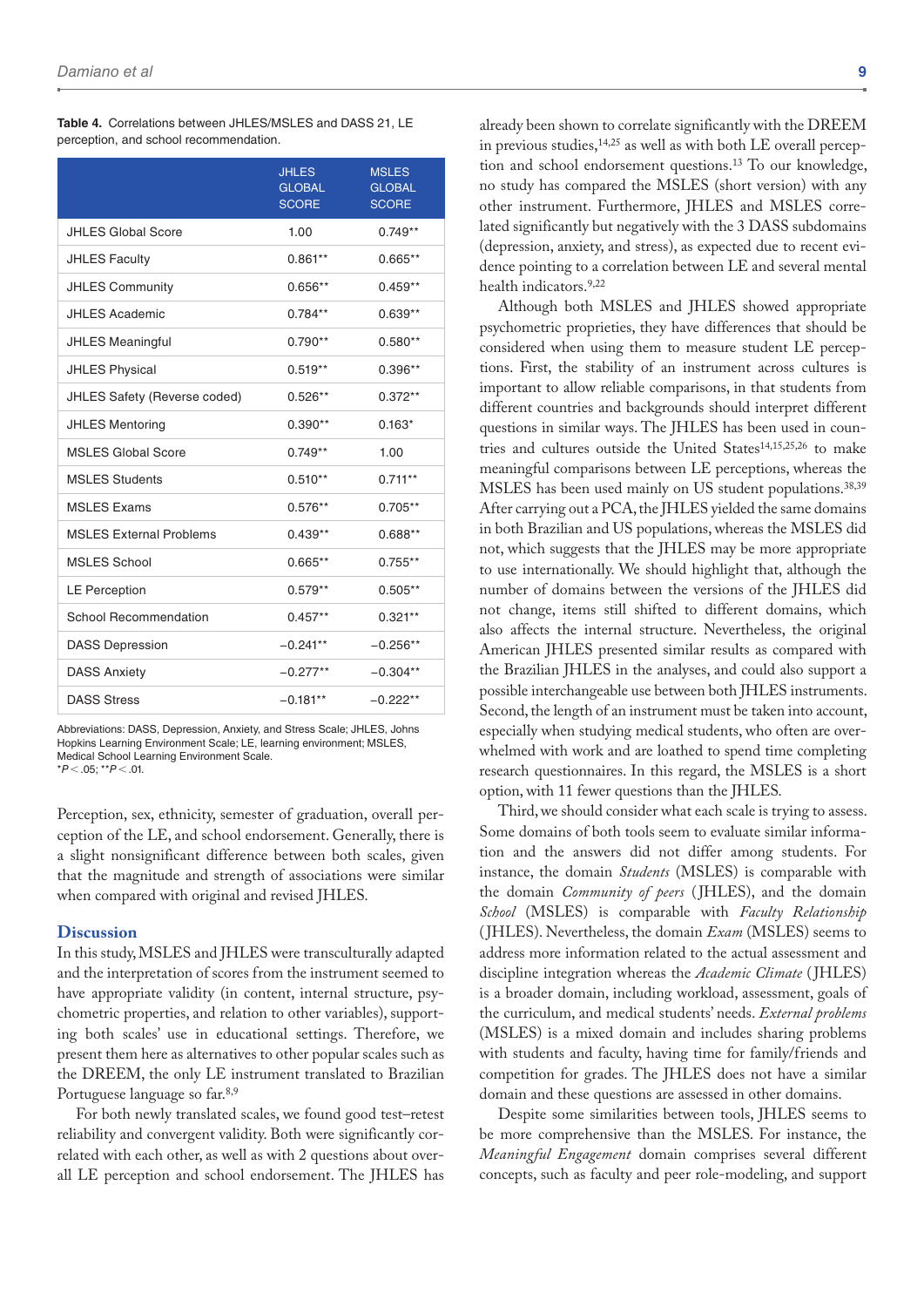**Table 4.** Correlations between JHLES/MSLES and DASS 21, LE perception, and school recommendation.

|                                | <b>JHLES</b><br><b>GLOBAL</b><br><b>SCORE</b> | <b>MSLES</b><br><b>GLOBAL</b><br><b>SCORE</b> |
|--------------------------------|-----------------------------------------------|-----------------------------------------------|
| <b>JHLES Global Score</b>      | 1.00                                          | $0.749**$                                     |
| <b>JHLES Faculty</b>           | $0.861**$                                     | $0.665**$                                     |
| JHLES Community                | $0.656**$                                     | $0.459**$                                     |
| <b>JHLES Academic</b>          | $0.784**$                                     | $0.639**$                                     |
| <b>JHLES Meaningful</b>        | $0.790**$                                     | $0.580**$                                     |
| <b>JHLES Physical</b>          | $0.519**$                                     | $0.396**$                                     |
| JHLES Safety (Reverse coded)   | $0.526**$                                     | $0.372**$                                     |
| <b>JHLES Mentoring</b>         | $0.390**$                                     | $0.163*$                                      |
| <b>MSLES Global Score</b>      | $0.749**$                                     | 1.00                                          |
| <b>MSLES Students</b>          | $0.510**$                                     | $0.711**$                                     |
| <b>MSLES Exams</b>             | $0.576**$                                     | $0.705**$                                     |
| <b>MSLES External Problems</b> | $0.439**$                                     | $0.688**$                                     |
| <b>MSLES School</b>            | $0.665**$                                     | $0.755**$                                     |
| <b>LE Perception</b>           | $0.579**$                                     | $0.505**$                                     |
| School Recommendation          | $0.457**$                                     | $0.321**$                                     |
| <b>DASS Depression</b>         | $-0.241**$                                    | $-0.256**$                                    |
| <b>DASS Anxiety</b>            | $-0.277**$                                    | $-0.304**$                                    |
| <b>DASS Stress</b>             | $-0.181**$                                    | $-0.222**$                                    |

Abbreviations: DASS, Depression, Anxiety, and Stress Scale; JHLES, Johns Hopkins Learning Environment Scale; LE, learning environment; MSLES, Medical School Learning Environment Scale.

 $*P$ < 05; \*\**P* < 01

Perception, sex, ethnicity, semester of graduation, overall perception of the LE, and school endorsement. Generally, there is a slight nonsignificant difference between both scales, given that the magnitude and strength of associations were similar when compared with original and revised JHLES.

#### **Discussion**

In this study, MSLES and JHLES were transculturally adapted and the interpretation of scores from the instrument seemed to have appropriate validity (in content, internal structure, psychometric properties, and relation to other variables), supporting both scales' use in educational settings. Therefore, we present them here as alternatives to other popular scales such as the DREEM, the only LE instrument translated to Brazilian Portuguese language so far.8,9

For both newly translated scales, we found good test–retest reliability and convergent validity. Both were significantly correlated with each other, as well as with 2 questions about overall LE perception and school endorsement. The JHLES has

already been shown to correlate significantly with the DREEM in previous studies,14,25 as well as with both LE overall perception and school endorsement questions.13 To our knowledge, no study has compared the MSLES (short version) with any other instrument. Furthermore, JHLES and MSLES correlated significantly but negatively with the 3 DASS subdomains (depression, anxiety, and stress), as expected due to recent evidence pointing to a correlation between LE and several mental health indicators.9,22

Although both MSLES and JHLES showed appropriate psychometric proprieties, they have differences that should be considered when using them to measure student LE perceptions. First, the stability of an instrument across cultures is important to allow reliable comparisons, in that students from different countries and backgrounds should interpret different questions in similar ways. The JHLES has been used in countries and cultures outside the United States<sup>14,15,25,26</sup> to make meaningful comparisons between LE perceptions, whereas the MSLES has been used mainly on US student populations.38,39 After carrying out a PCA, the JHLES yielded the same domains in both Brazilian and US populations, whereas the MSLES did not, which suggests that the JHLES may be more appropriate to use internationally. We should highlight that, although the number of domains between the versions of the JHLES did not change, items still shifted to different domains, which also affects the internal structure. Nevertheless, the original American JHLES presented similar results as compared with the Brazilian JHLES in the analyses, and could also support a possible interchangeable use between both JHLES instruments. Second, the length of an instrument must be taken into account, especially when studying medical students, who often are overwhelmed with work and are loathed to spend time completing research questionnaires. In this regard, the MSLES is a short option, with 11 fewer questions than the JHLES.

Third, we should consider what each scale is trying to assess. Some domains of both tools seem to evaluate similar information and the answers did not differ among students. For instance, the domain *Students* (MSLES) is comparable with the domain *Community of peers* ( JHLES), and the domain *School* (MSLES) is comparable with *Faculty Relationship* ( JHLES). Nevertheless, the domain *Exam* (MSLES) seems to address more information related to the actual assessment and discipline integration whereas the *Academic Climate* ( JHLES) is a broader domain, including workload, assessment, goals of the curriculum, and medical students' needs. *External problems* (MSLES) is a mixed domain and includes sharing problems with students and faculty, having time for family/friends and competition for grades. The JHLES does not have a similar domain and these questions are assessed in other domains.

Despite some similarities between tools, JHLES seems to be more comprehensive than the MSLES. For instance, the *Meaningful Engagement* domain comprises several different concepts, such as faculty and peer role-modeling, and support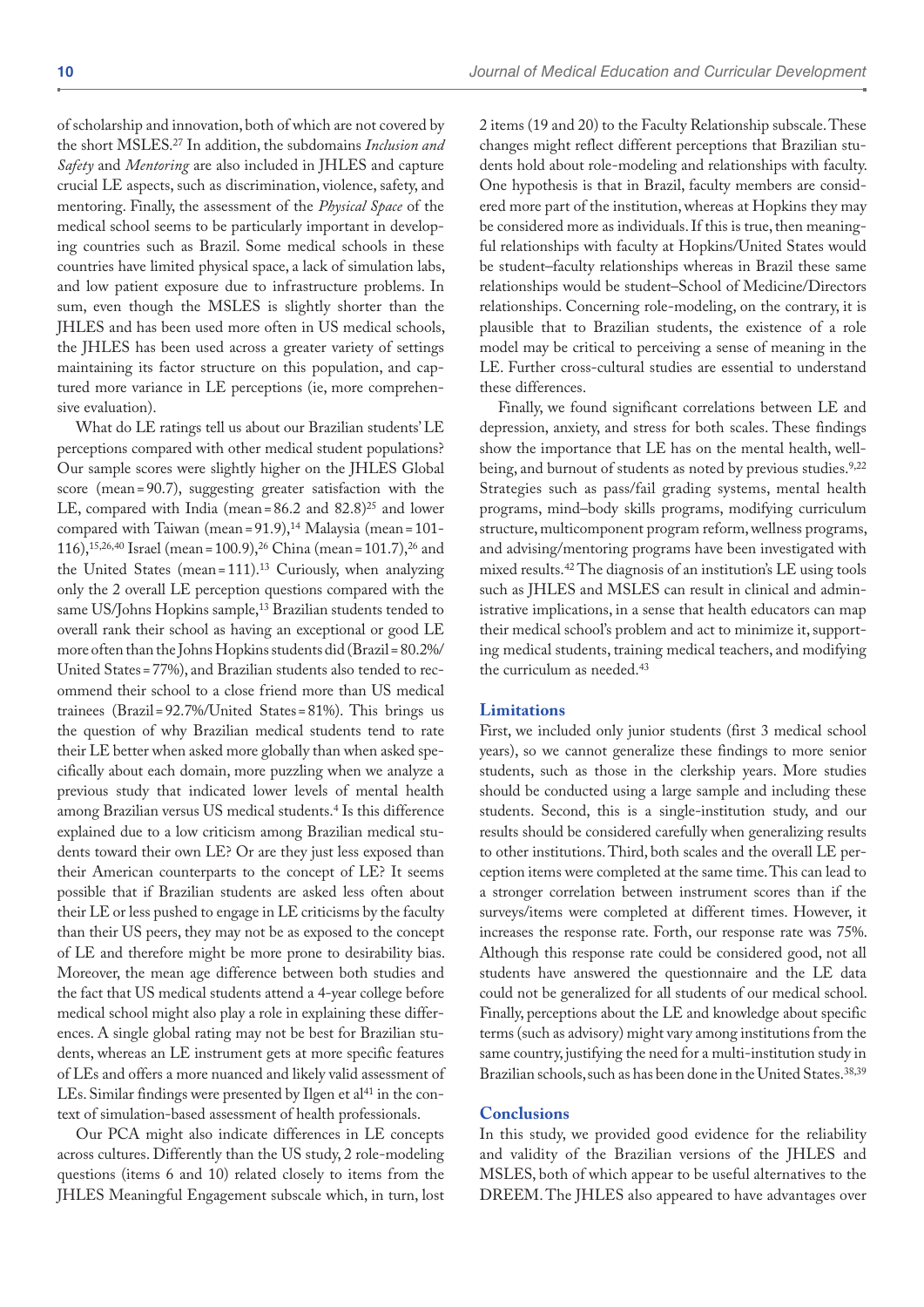of scholarship and innovation, both of which are not covered by the short MSLES.27 In addition, the subdomains *Inclusion and Safety* and *Mentoring* are also included in JHLES and capture crucial LE aspects, such as discrimination, violence, safety, and mentoring. Finally, the assessment of the *Physical Space* of the medical school seems to be particularly important in developing countries such as Brazil. Some medical schools in these countries have limited physical space, a lack of simulation labs, and low patient exposure due to infrastructure problems. In sum, even though the MSLES is slightly shorter than the JHLES and has been used more often in US medical schools, the JHLES has been used across a greater variety of settings maintaining its factor structure on this population, and captured more variance in LE perceptions (ie, more comprehensive evaluation).

What do LE ratings tell us about our Brazilian students' LE perceptions compared with other medical student populations? Our sample scores were slightly higher on the JHLES Global score (mean=90.7), suggesting greater satisfaction with the LE, compared with India (mean =  $86.2$  and  $82.8$ )<sup>25</sup> and lower compared with Taiwan (mean=91.9),<sup>14</sup> Malaysia (mean=101-116),15,26,40 Israel (mean=100.9),26 China (mean=101.7),26 and the United States (mean=111).<sup>13</sup> Curiously, when analyzing only the 2 overall LE perception questions compared with the same US/Johns Hopkins sample,13 Brazilian students tended to overall rank their school as having an exceptional or good LE more often than the Johns Hopkins students did (Brazil=80.2%/ United States=77%), and Brazilian students also tended to recommend their school to a close friend more than US medical trainees (Brazil=92.7%/United States=81%). This brings us the question of why Brazilian medical students tend to rate their LE better when asked more globally than when asked specifically about each domain, more puzzling when we analyze a previous study that indicated lower levels of mental health among Brazilian versus US medical students.4 Is this difference explained due to a low criticism among Brazilian medical students toward their own LE? Or are they just less exposed than their American counterparts to the concept of LE? It seems possible that if Brazilian students are asked less often about their LE or less pushed to engage in LE criticisms by the faculty than their US peers, they may not be as exposed to the concept of LE and therefore might be more prone to desirability bias. Moreover, the mean age difference between both studies and the fact that US medical students attend a 4-year college before medical school might also play a role in explaining these differences. A single global rating may not be best for Brazilian students, whereas an LE instrument gets at more specific features of LEs and offers a more nuanced and likely valid assessment of LEs. Similar findings were presented by Ilgen et al<sup>41</sup> in the context of simulation-based assessment of health professionals.

Our PCA might also indicate differences in LE concepts across cultures. Differently than the US study, 2 role-modeling questions (items 6 and 10) related closely to items from the JHLES Meaningful Engagement subscale which, in turn, lost

2 items (19 and 20) to the Faculty Relationship subscale. These changes might reflect different perceptions that Brazilian students hold about role-modeling and relationships with faculty. One hypothesis is that in Brazil, faculty members are considered more part of the institution, whereas at Hopkins they may be considered more as individuals. If this is true, then meaningful relationships with faculty at Hopkins/United States would be student–faculty relationships whereas in Brazil these same relationships would be student–School of Medicine/Directors relationships. Concerning role-modeling, on the contrary, it is plausible that to Brazilian students, the existence of a role model may be critical to perceiving a sense of meaning in the LE. Further cross-cultural studies are essential to understand these differences.

Finally, we found significant correlations between LE and depression, anxiety, and stress for both scales. These findings show the importance that LE has on the mental health, wellbeing, and burnout of students as noted by previous studies.<sup>9,22</sup> Strategies such as pass/fail grading systems, mental health programs, mind–body skills programs, modifying curriculum structure, multicomponent program reform, wellness programs, and advising/mentoring programs have been investigated with mixed results.42 The diagnosis of an institution's LE using tools such as JHLES and MSLES can result in clinical and administrative implications, in a sense that health educators can map their medical school's problem and act to minimize it, supporting medical students, training medical teachers, and modifying the curriculum as needed.43

## **Limitations**

First, we included only junior students (first 3 medical school years), so we cannot generalize these findings to more senior students, such as those in the clerkship years. More studies should be conducted using a large sample and including these students. Second, this is a single-institution study, and our results should be considered carefully when generalizing results to other institutions. Third, both scales and the overall LE perception items were completed at the same time. This can lead to a stronger correlation between instrument scores than if the surveys/items were completed at different times. However, it increases the response rate. Forth, our response rate was 75%. Although this response rate could be considered good, not all students have answered the questionnaire and the LE data could not be generalized for all students of our medical school. Finally, perceptions about the LE and knowledge about specific terms (such as advisory) might vary among institutions from the same country, justifying the need for a multi-institution study in Brazilian schools, such as has been done in the United States.38,39

# **Conclusions**

In this study, we provided good evidence for the reliability and validity of the Brazilian versions of the JHLES and MSLES, both of which appear to be useful alternatives to the DREEM. The JHLES also appeared to have advantages over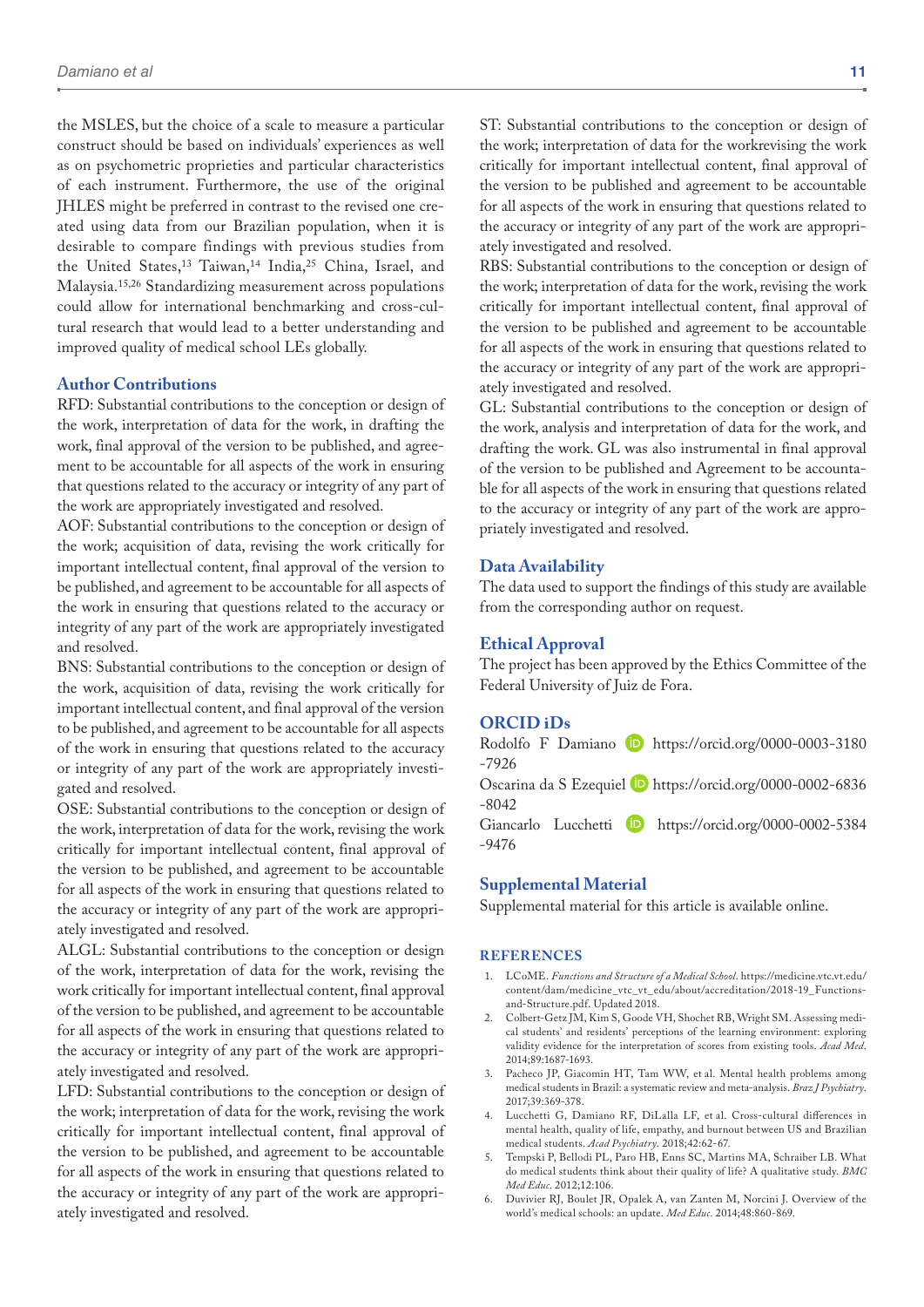the MSLES, but the choice of a scale to measure a particular construct should be based on individuals' experiences as well as on psychometric proprieties and particular characteristics of each instrument. Furthermore, the use of the original JHLES might be preferred in contrast to the revised one created using data from our Brazilian population, when it is desirable to compare findings with previous studies from the United States,<sup>13</sup> Taiwan,<sup>14</sup> India,<sup>25</sup> China, Israel, and Malaysia.15,26 Standardizing measurement across populations could allow for international benchmarking and cross-cultural research that would lead to a better understanding and improved quality of medical school LEs globally.

## **Author Contributions**

RFD: Substantial contributions to the conception or design of the work, interpretation of data for the work, in drafting the work, final approval of the version to be published, and agreement to be accountable for all aspects of the work in ensuring that questions related to the accuracy or integrity of any part of the work are appropriately investigated and resolved.

AOF: Substantial contributions to the conception or design of the work; acquisition of data, revising the work critically for important intellectual content, final approval of the version to be published, and agreement to be accountable for all aspects of the work in ensuring that questions related to the accuracy or integrity of any part of the work are appropriately investigated and resolved.

BNS: Substantial contributions to the conception or design of the work, acquisition of data, revising the work critically for important intellectual content, and final approval of the version to be published, and agreement to be accountable for all aspects of the work in ensuring that questions related to the accuracy or integrity of any part of the work are appropriately investigated and resolved.

OSE: Substantial contributions to the conception or design of the work, interpretation of data for the work, revising the work critically for important intellectual content, final approval of the version to be published, and agreement to be accountable for all aspects of the work in ensuring that questions related to the accuracy or integrity of any part of the work are appropriately investigated and resolved.

ALGL: Substantial contributions to the conception or design of the work, interpretation of data for the work, revising the work critically for important intellectual content, final approval of the version to be published, and agreement to be accountable for all aspects of the work in ensuring that questions related to the accuracy or integrity of any part of the work are appropriately investigated and resolved.

LFD: Substantial contributions to the conception or design of the work; interpretation of data for the work, revising the work critically for important intellectual content, final approval of the version to be published, and agreement to be accountable for all aspects of the work in ensuring that questions related to the accuracy or integrity of any part of the work are appropriately investigated and resolved.

ST: Substantial contributions to the conception or design of the work; interpretation of data for the workrevising the work critically for important intellectual content, final approval of the version to be published and agreement to be accountable for all aspects of the work in ensuring that questions related to the accuracy or integrity of any part of the work are appropriately investigated and resolved.

RBS: Substantial contributions to the conception or design of the work; interpretation of data for the work, revising the work critically for important intellectual content, final approval of the version to be published and agreement to be accountable for all aspects of the work in ensuring that questions related to the accuracy or integrity of any part of the work are appropriately investigated and resolved.

GL: Substantial contributions to the conception or design of the work, analysis and interpretation of data for the work, and drafting the work. GL was also instrumental in final approval of the version to be published and Agreement to be accountable for all aspects of the work in ensuring that questions related to the accuracy or integrity of any part of the work are appropriately investigated and resolved.

## **Data Availability**

The data used to support the findings of this study are available from the corresponding author on request.

## **Ethical Approval**

The project has been approved by the Ethics Committee of the Federal University of Juiz de Fora.

## **ORCID iDs**

Rodolfo F Damiano **D** [https://orcid.org/0000-0003-3180](https://orcid.org/0000-0003-3180-7926) [-7926](https://orcid.org/0000-0003-3180-7926) Oscarina da S Ezequiel D [https://orcid.org/0000-0002-6836](https://orcid.org/0000-0002-6836-8042) [-8042](https://orcid.org/0000-0002-6836-8042) Giancarlo Lucchetti **b** [https://orcid.org/0000-0002-5384](https://orcid.org/0000-0002-5384-9476) [-9476](https://orcid.org/0000-0002-5384-9476)

### **Supplemental Material**

Supplemental material for this article is available online.

#### **References**

- 1. LCoME. *Functions and Structure of a Medical School*. [https://medicine.vtc.vt.edu/](https://medicine.vtc.vt.edu/content/dam/medicine_vtc_vt_edu/about/accreditation/2018-19_Functions-and-Structure.pdf) [content/dam/medicine\\_vtc\\_vt\\_edu/about/accreditation/2018-19\\_Functions](https://medicine.vtc.vt.edu/content/dam/medicine_vtc_vt_edu/about/accreditation/2018-19_Functions-and-Structure.pdf)[and-Structure.pdf.](https://medicine.vtc.vt.edu/content/dam/medicine_vtc_vt_edu/about/accreditation/2018-19_Functions-and-Structure.pdf) Updated 2018.
- 2. Colbert-Getz JM, Kim S, Goode VH, Shochet RB, Wright SM. Assessing medical students' and residents' perceptions of the learning environment: exploring validity evidence for the interpretation of scores from existing tools. *Acad Med*. 2014;89:1687-1693.
- 3. Pacheco JP, Giacomin HT, Tam WW, et al. Mental health problems among medical students in Brazil: a systematic review and meta-analysis. *Braz J Psychiatry*. 2017;39:369-378.
- 4. Lucchetti G, Damiano RF, DiLalla LF, et al. Cross-cultural differences in mental health, quality of life, empathy, and burnout between US and Brazilian medical students. *Acad Psychiatry*. 2018;42:62-67.
- 5. Tempski P, Bellodi PL, Paro HB, Enns SC, Martins MA, Schraiber LB. What do medical students think about their quality of life? A qualitative study. *BMC Med Educ*. 2012;12:106.
- 6. Duvivier RJ, Boulet JR, Opalek A, van Zanten M, Norcini J. Overview of the world's medical schools: an update. *Med Educ*. 2014;48:860-869.